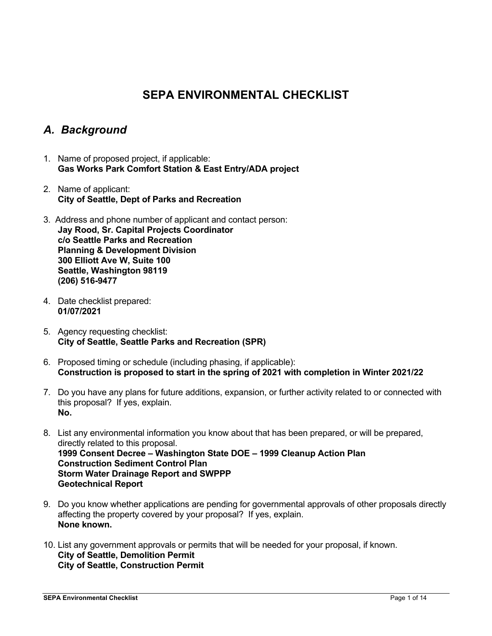# **SEPA ENVIRONMENTAL CHECKLIST**

# *A. Background*

- 1. Name of proposed project, if applicable: **Gas Works Park Comfort Station & East Entry/ADA project**
- 2. Name of applicant: **City of Seattle, Dept of Parks and Recreation**
- 3. Address and phone number of applicant and contact person: **Jay Rood, Sr. Capital Projects Coordinator c/o Seattle Parks and Recreation Planning & Development Division 300 Elliott Ave W, Suite 100 Seattle, Washington 98119 (206) 516-9477**
- 4. Date checklist prepared: **01/07/2021**
- 5. Agency requesting checklist: **City of Seattle, Seattle Parks and Recreation (SPR)**
- 6. Proposed timing or schedule (including phasing, if applicable): **Construction is proposed to start in the spring of 2021 with completion in Winter 2021/22**
- 7. Do you have any plans for future additions, expansion, or further activity related to or connected with this proposal? If yes, explain. **No.**
- 8. List any environmental information you know about that has been prepared, or will be prepared, directly related to this proposal. **1999 Consent Decree – Washington State DOE – 1999 Cleanup Action Plan Construction Sediment Control Plan Storm Water Drainage Report and SWPPP Geotechnical Report**
- 9. Do you know whether applications are pending for governmental approvals of other proposals directly affecting the property covered by your proposal? If yes, explain. **None known.**
- 10. List any government approvals or permits that will be needed for your proposal, if known. **City of Seattle, Demolition Permit City of Seattle, Construction Permit**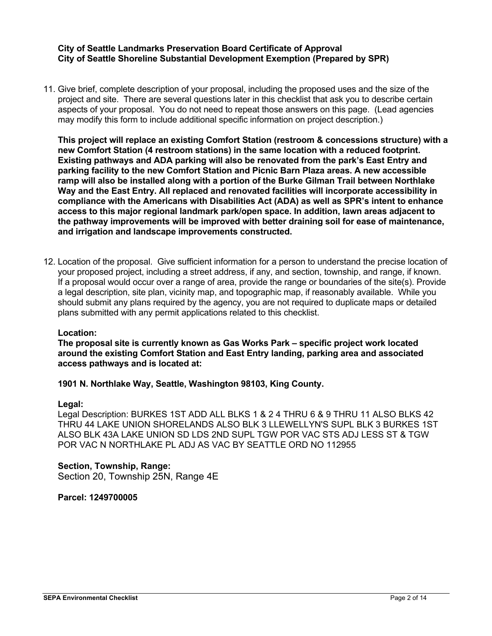#### **City of Seattle Landmarks Preservation Board Certificate of Approval City of Seattle Shoreline Substantial Development Exemption (Prepared by SPR)**

11. Give brief, complete description of your proposal, including the proposed uses and the size of the project and site. There are several questions later in this checklist that ask you to describe certain aspects of your proposal. You do not need to repeat those answers on this page. (Lead agencies may modify this form to include additional specific information on project description.)

**This project will replace an existing Comfort Station (restroom & concessions structure) with a new Comfort Station (4 restroom stations) in the same location with a reduced footprint. Existing pathways and ADA parking will also be renovated from the park's East Entry and parking facility to the new Comfort Station and Picnic Barn Plaza areas. A new accessible ramp will also be installed along with a portion of the Burke Gilman Trail between Northlake Way and the East Entry. All replaced and renovated facilities will incorporate accessibility in compliance with the Americans with Disabilities Act (ADA) as well as SPR's intent to enhance access to this major regional landmark park/open space. In addition, lawn areas adjacent to the pathway improvements will be improved with better draining soil for ease of maintenance, and irrigation and landscape improvements constructed.**

12. Location of the proposal. Give sufficient information for a person to understand the precise location of your proposed project, including a street address, if any, and section, township, and range, if known. If a proposal would occur over a range of area, provide the range or boundaries of the site(s). Provide a legal description, site plan, vicinity map, and topographic map, if reasonably available. While you should submit any plans required by the agency, you are not required to duplicate maps or detailed plans submitted with any permit applications related to this checklist.

#### **Location:**

**The proposal site is currently known as Gas Works Park – specific project work located around the existing Comfort Station and East Entry landing, parking area and associated access pathways and is located at:**

**1901 N. Northlake Way, Seattle, Washington 98103, King County.**

#### **Legal:**

Legal Description: BURKES 1ST ADD ALL BLKS 1 & 2 4 THRU 6 & 9 THRU 11 ALSO BLKS 42 THRU 44 LAKE UNION SHORELANDS ALSO BLK 3 LLEWELLYN'S SUPL BLK 3 BURKES 1ST ALSO BLK 43A LAKE UNION SD LDS 2ND SUPL TGW POR VAC STS ADJ LESS ST & TGW POR VAC N NORTHLAKE PL ADJ AS VAC BY SEATTLE ORD NO 112955

**Section, Township, Range:** Section 20, Township 25N, Range 4E

**Parcel: 1249700005**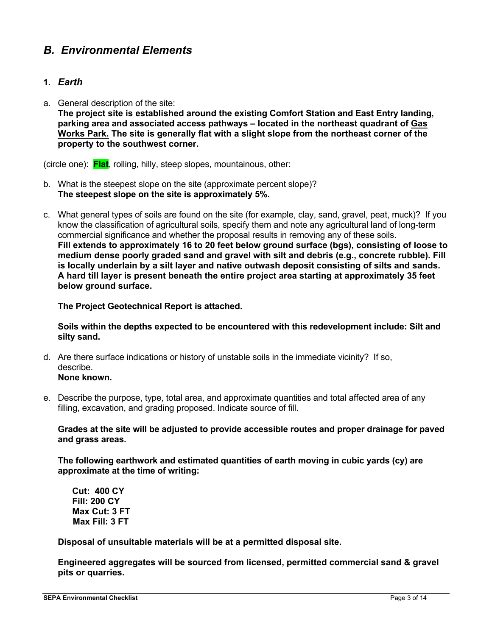# *B. Environmental Elements*

## **1.** *Earth*

a. General description of the site:

**The project site is established around the existing Comfort Station and East Entry landing, parking area and associated access pathways – located in the northeast quadrant of Gas Works Park. The site is generally flat with a slight slope from the northeast corner of the property to the southwest corner.**

(circle one): **Flat**, rolling, hilly, steep slopes, mountainous, other:

- b. What is the steepest slope on the site (approximate percent slope)? **The steepest slope on the site is approximately 5%.**
- c. What general types of soils are found on the site (for example, clay, sand, gravel, peat, muck)? If you know the classification of agricultural soils, specify them and note any agricultural land of long-term commercial significance and whether the proposal results in removing any of these soils. **Fill extends to approximately 16 to 20 feet below ground surface (bgs), consisting of loose to medium dense poorly graded sand and gravel with silt and debris (e.g., concrete rubble). Fill is locally underlain by a silt layer and native outwash deposit consisting of silts and sands. A hard till layer is present beneath the entire project area starting at approximately 35 feet below ground surface.**

**The Project Geotechnical Report is attached.**

**Soils within the depths expected to be encountered with this redevelopment include: Silt and silty sand.**

- d. Are there surface indications or history of unstable soils in the immediate vicinity? If so, describe.
	- **None known.**
- e. Describe the purpose, type, total area, and approximate quantities and total affected area of any filling, excavation, and grading proposed. Indicate source of fill.

**Grades at the site will be adjusted to provide accessible routes and proper drainage for paved and grass areas.** 

**The following earthwork and estimated quantities of earth moving in cubic yards (cy) are approximate at the time of writing:**

**Cut: 400 CY Fill: 200 CY Max Cut: 3 FT Max Fill: 3 FT**

**Disposal of unsuitable materials will be at a permitted disposal site.**

**Engineered aggregates will be sourced from licensed, permitted commercial sand & gravel pits or quarries.**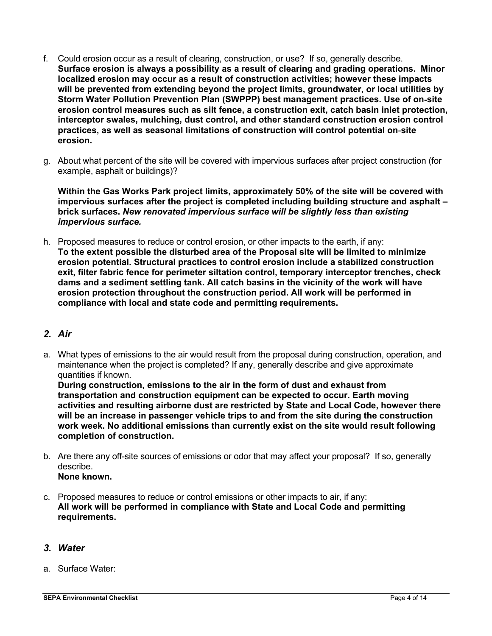- f. Could erosion occur as a result of clearing, construction, or use? If so, generally describe. **Surface erosion is always a possibility as a result of clearing and grading operations. Minor localized erosion may occur as a result of construction activities; however these impacts will be prevented from extending beyond the project limits, groundwater, or local utilities by Storm Water Pollution Prevention Plan (SWPPP) best management practices. Use of on‐site erosion control measures such as silt fence, a construction exit, catch basin inlet protection, interceptor swales, mulching, dust control, and other standard construction erosion control practices, as well as seasonal limitations of construction will control potential on‐site erosion.**
- g. About what percent of the site will be covered with impervious surfaces after project construction (for example, asphalt or buildings)?

**Within the Gas Works Park project limits, approximately 50% of the site will be covered with impervious surfaces after the project is completed including building structure and asphalt – brick surfaces.** *New renovated impervious surface will be slightly less than existing impervious surface.*

h. Proposed measures to reduce or control erosion, or other impacts to the earth, if any: **To the extent possible the disturbed area of the Proposal site will be limited to minimize erosion potential. Structural practices to control erosion include a stabilized construction exit, filter fabric fence for perimeter siltation control, temporary interceptor trenches, check dams and a sediment settling tank. All catch basins in the vicinity of the work will have erosion protection throughout the construction period. All work will be performed in compliance with local and state code and permitting requirements.**

## *2. Air*

a. What types of emissions to the air would result from the proposal during construction, operation, and maintenance when the project is completed? If any, generally describe and give approximate quantities if known.

**During construction, emissions to the air in the form of dust and exhaust from transportation and construction equipment can be expected to occur. Earth moving activities and resulting airborne dust are restricted by State and Local Code, however there will be an increase in passenger vehicle trips to and from the site during the construction work week. No additional emissions than currently exist on the site would result following completion of construction.**

- b. Are there any off-site sources of emissions or odor that may affect your proposal? If so, generally describe. **None known.**
- c. Proposed measures to reduce or control emissions or other impacts to air, if any: **All work will be performed in compliance with State and Local Code and permitting requirements.**

## *3. Water*

a. Surface Water: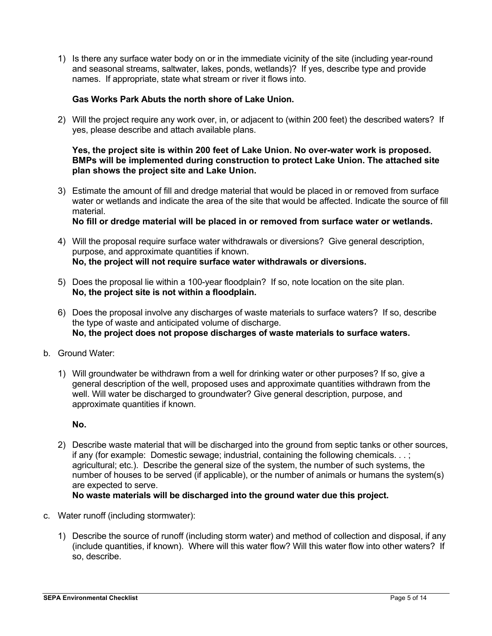1) Is there any surface water body on or in the immediate vicinity of the site (including year-round and seasonal streams, saltwater, lakes, ponds, wetlands)? If yes, describe type and provide names. If appropriate, state what stream or river it flows into.

### **Gas Works Park Abuts the north shore of Lake Union.**

2) Will the project require any work over, in, or adjacent to (within 200 feet) the described waters? If yes, please describe and attach available plans.

#### **Yes, the project site is within 200 feet of Lake Union. No over-water work is proposed. BMPs will be implemented during construction to protect Lake Union. The attached site plan shows the project site and Lake Union.**

3) Estimate the amount of fill and dredge material that would be placed in or removed from surface water or wetlands and indicate the area of the site that would be affected. Indicate the source of fill material.

**No fill or dredge material will be placed in or removed from surface water or wetlands.**

- 4) Will the proposal require surface water withdrawals or diversions? Give general description, purpose, and approximate quantities if known. **No, the project will not require surface water withdrawals or diversions.**
- 5) Does the proposal lie within a 100-year floodplain? If so, note location on the site plan. **No, the project site is not within a floodplain.**
- 6) Does the proposal involve any discharges of waste materials to surface waters? If so, describe the type of waste and anticipated volume of discharge. **No, the project does not propose discharges of waste materials to surface waters.**
- b. Ground Water:
	- 1) Will groundwater be withdrawn from a well for drinking water or other purposes? If so, give a general description of the well, proposed uses and approximate quantities withdrawn from the well. Will water be discharged to groundwater? Give general description, purpose, and approximate quantities if known.

**No.**

2) Describe waste material that will be discharged into the ground from septic tanks or other sources, if any (for example: Domestic sewage; industrial, containing the following chemicals. . . ; agricultural; etc.). Describe the general size of the system, the number of such systems, the number of houses to be served (if applicable), or the number of animals or humans the system(s) are expected to serve.

## **No waste materials will be discharged into the ground water due this project.**

- c. Water runoff (including stormwater):
	- 1) Describe the source of runoff (including storm water) and method of collection and disposal, if any (include quantities, if known). Where will this water flow? Will this water flow into other waters? If so, describe.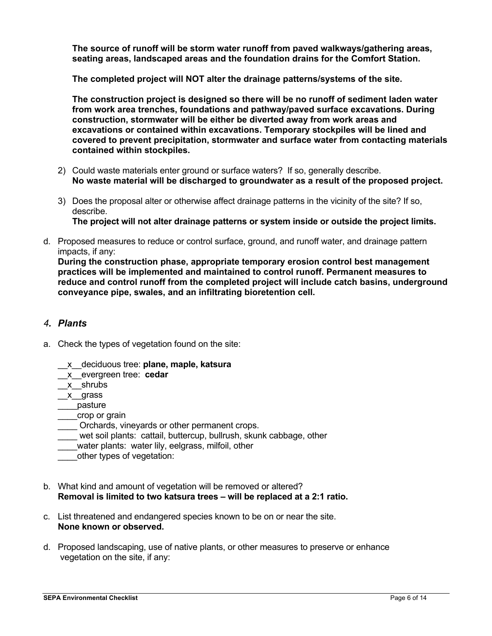**The source of runoff will be storm water runoff from paved walkways/gathering areas, seating areas, landscaped areas and the foundation drains for the Comfort Station.** 

**The completed project will NOT alter the drainage patterns/systems of the site.**

**The construction project is designed so there will be no runoff of sediment laden water from work area trenches, foundations and pathway/paved surface excavations. During construction, stormwater will be either be diverted away from work areas and excavations or contained within excavations. Temporary stockpiles will be lined and covered to prevent precipitation, stormwater and surface water from contacting materials contained within stockpiles.**

- 2) Could waste materials enter ground or surface waters? If so, generally describe. **No waste material will be discharged to groundwater as a result of the proposed project.**
- 3) Does the proposal alter or otherwise affect drainage patterns in the vicinity of the site? If so, describe. **The project will not alter drainage patterns or system inside or outside the project limits.**
- d. Proposed measures to reduce or control surface, ground, and runoff water, and drainage pattern impacts, if any:

**During the construction phase, appropriate temporary erosion control best management practices will be implemented and maintained to control runoff. Permanent measures to reduce and control runoff from the completed project will include catch basins, underground conveyance pipe, swales, and an infiltrating bioretention cell.**

## *4. Plants*

- a. Check the types of vegetation found on the site:
	- \_\_x\_\_deciduous tree: **plane, maple, katsura**
	- \_\_x\_\_evergreen tree: **cedar**
	- \_\_x\_\_shrubs
	- \_\_x\_\_grass
	- \_\_\_\_pasture
	- crop or grain
	- Orchards, vineyards or other permanent crops.
	- wet soil plants: cattail, buttercup, bullrush, skunk cabbage, other
	- water plants: water lily, eelgrass, milfoil, other
	- \_\_\_\_other types of vegetation:
- b. What kind and amount of vegetation will be removed or altered? **Removal is limited to two katsura trees – will be replaced at a 2:1 ratio.**
- c. List threatened and endangered species known to be on or near the site. **None known or observed.**
- d. Proposed landscaping, use of native plants, or other measures to preserve or enhance vegetation on the site, if any: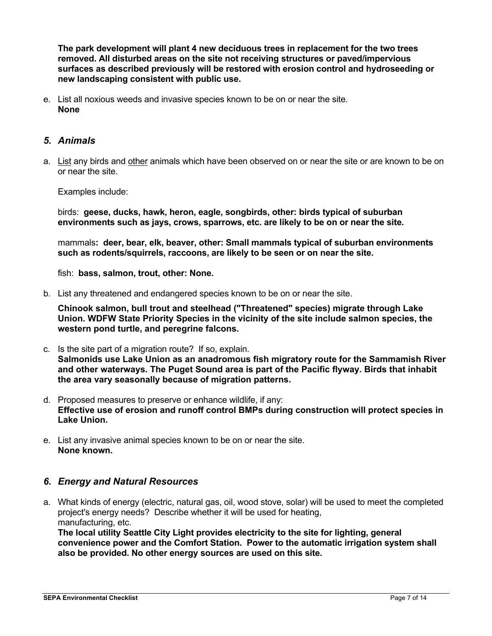**The park development will plant 4 new deciduous trees in replacement for the two trees removed. All disturbed areas on the site not receiving structures or paved/impervious surfaces as described previously will be restored with erosion control and hydroseeding or new landscaping consistent with public use.** 

e. List all noxious weeds and invasive species known to be on or near the site. **None**

## *5. Animals*

a. List any birds and other animals which have been observed on or near the site or are known to be on or near the site.

#### Examples include:

birds: **geese, ducks, hawk, heron, eagle, songbirds, other: birds typical of suburban environments such as jays, crows, sparrows, etc. are likely to be on or near the site.** 

mammals**: deer, bear, elk, beaver, other: Small mammals typical of suburban environments such as rodents/squirrels, raccoons, are likely to be seen or on near the site.**

fish: **bass, salmon, trout, other: None.**

b. List any threatened and endangered species known to be on or near the site.

**Chinook salmon, bull trout and steelhead ("Threatened" species) migrate through Lake Union. WDFW State Priority Species in the vicinity of the site include salmon species, the western pond turtle, and peregrine falcons.** 

- c. Is the site part of a migration route? If so, explain. **Salmonids use Lake Union as an anadromous fish migratory route for the Sammamish River and other waterways. The Puget Sound area is part of the Pacific flyway. Birds that inhabit the area vary seasonally because of migration patterns.**
- d. Proposed measures to preserve or enhance wildlife, if any: **Effective use of erosion and runoff control BMPs during construction will protect species in Lake Union.**
- e. List any invasive animal species known to be on or near the site. **None known.**

### *6. Energy and Natural Resources*

a. What kinds of energy (electric, natural gas, oil, wood stove, solar) will be used to meet the completed project's energy needs? Describe whether it will be used for heating, manufacturing, etc.

**The local utility Seattle City Light provides electricity to the site for lighting, general convenience power and the Comfort Station. Power to the automatic irrigation system shall also be provided. No other energy sources are used on this site.**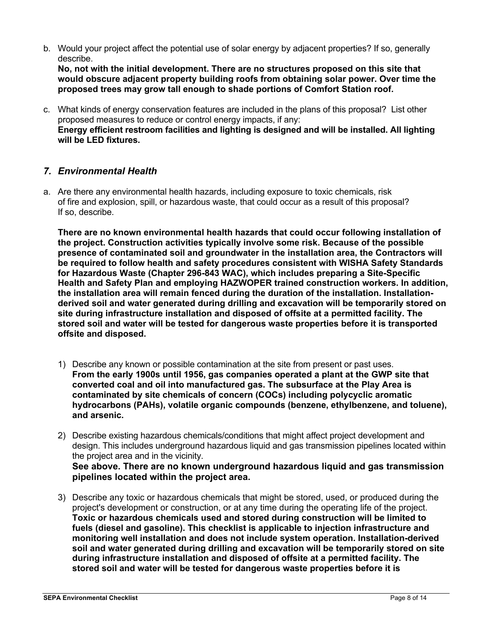b. Would your project affect the potential use of solar energy by adjacent properties? If so, generally describe.

**No, not with the initial development. There are no structures proposed on this site that would obscure adjacent property building roofs from obtaining solar power. Over time the proposed trees may grow tall enough to shade portions of Comfort Station roof.** 

c. What kinds of energy conservation features are included in the plans of this proposal? List other proposed measures to reduce or control energy impacts, if any: **Energy efficient restroom facilities and lighting is designed and will be installed. All lighting will be LED fixtures.**

## *7. Environmental Health*

a. Are there any environmental health hazards, including exposure to toxic chemicals, risk of fire and explosion, spill, or hazardous waste, that could occur as a result of this proposal? If so, describe.

**There are no known environmental health hazards that could occur following installation of the project. Construction activities typically involve some risk. Because of the possible presence of contaminated soil and groundwater in the installation area, the Contractors will be required to follow health and safety procedures consistent with WISHA Safety Standards for Hazardous Waste (Chapter 296-843 WAC), which includes preparing a Site-Specific Health and Safety Plan and employing HAZWOPER trained construction workers. In addition, the installation area will remain fenced during the duration of the installation. Installationderived soil and water generated during drilling and excavation will be temporarily stored on site during infrastructure installation and disposed of offsite at a permitted facility. The stored soil and water will be tested for dangerous waste properties before it is transported offsite and disposed.** 

- 1) Describe any known or possible contamination at the site from present or past uses. **From the early 1900s until 1956, gas companies operated a plant at the GWP site that converted coal and oil into manufactured gas. The subsurface at the Play Area is contaminated by site chemicals of concern (COCs) including polycyclic aromatic hydrocarbons (PAHs), volatile organic compounds (benzene, ethylbenzene, and toluene), and arsenic.**
- 2) Describe existing hazardous chemicals/conditions that might affect project development and design. This includes underground hazardous liquid and gas transmission pipelines located within the project area and in the vicinity. **See above. There are no known underground hazardous liquid and gas transmission pipelines located within the project area.**
- 3) Describe any toxic or hazardous chemicals that might be stored, used, or produced during the project's development or construction, or at any time during the operating life of the project. **Toxic or hazardous chemicals used and stored during construction will be limited to fuels (diesel and gasoline). This checklist is applicable to injection infrastructure and monitoring well installation and does not include system operation. Installation-derived soil and water generated during drilling and excavation will be temporarily stored on site during infrastructure installation and disposed of offsite at a permitted facility. The stored soil and water will be tested for dangerous waste properties before it is**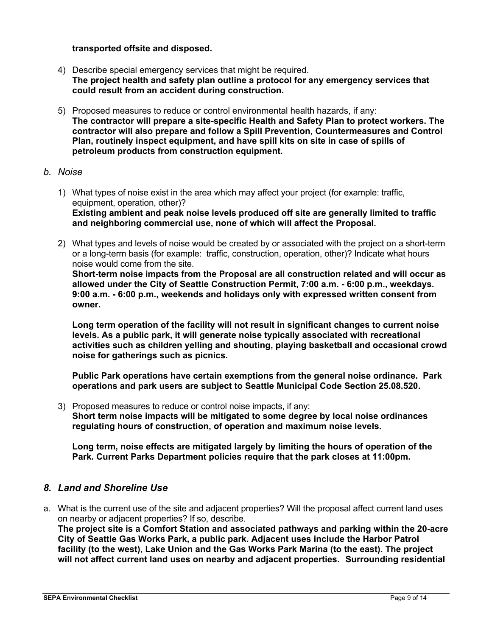#### **transported offsite and disposed.**

- 4) Describe special emergency services that might be required. **The project health and safety plan outline a protocol for any emergency services that could result from an accident during construction.**
- 5) Proposed measures to reduce or control environmental health hazards, if any: **The contractor will prepare a site-specific Health and Safety Plan to protect workers. The contractor will also prepare and follow a Spill Prevention, Countermeasures and Control Plan, routinely inspect equipment, and have spill kits on site in case of spills of petroleum products from construction equipment.**
- *b. Noise*
	- 1) What types of noise exist in the area which may affect your project (for example: traffic, equipment, operation, other)? **Existing ambient and peak noise levels produced off site are generally limited to traffic and neighboring commercial use, none of which will affect the Proposal.**
	- 2) What types and levels of noise would be created by or associated with the project on a short-term or a long-term basis (for example: traffic, construction, operation, other)? Indicate what hours noise would come from the site. **Short-term noise impacts from the Proposal are all construction related and will occur as allowed under the City of Seattle Construction Permit, 7:00 a.m. - 6:00 p.m., weekdays. 9:00 a.m. - 6:00 p.m., weekends and holidays only with expressed written consent from owner.**

**Long term operation of the facility will not result in significant changes to current noise levels. As a public park, it will generate noise typically associated with recreational activities such as children yelling and shouting, playing basketball and occasional crowd noise for gatherings such as picnics.** 

**Public Park operations have certain exemptions from the general noise ordinance. Park operations and park users are subject to Seattle Municipal Code Section 25.08.520.**

3) Proposed measures to reduce or control noise impacts, if any: **Short term noise impacts will be mitigated to some degree by local noise ordinances regulating hours of construction, of operation and maximum noise levels.**

**Long term, noise effects are mitigated largely by limiting the hours of operation of the Park. Current Parks Department policies require that the park closes at 11:00pm.**

## *8. Land and Shoreline Use*

a. What is the current use of the site and adjacent properties? Will the proposal affect current land uses on nearby or adjacent properties? If so, describe.

**The project site is a Comfort Station and associated pathways and parking within the 20-acre City of Seattle Gas Works Park, a public park. Adjacent uses include the Harbor Patrol facility (to the west), Lake Union and the Gas Works Park Marina (to the east). The project will not affect current land uses on nearby and adjacent properties. Surrounding residential**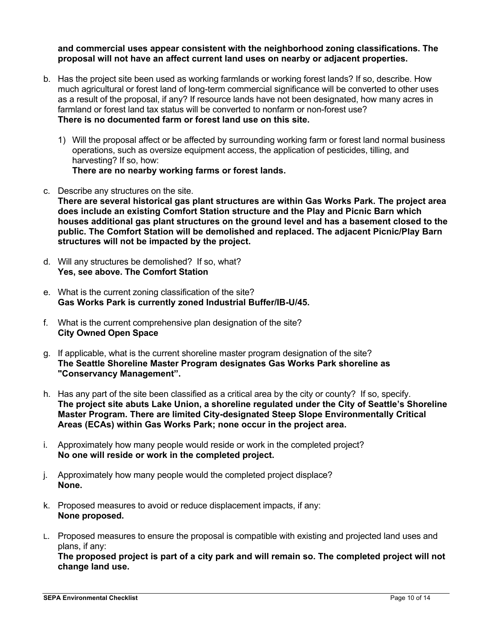**and commercial uses appear consistent with the neighborhood zoning classifications. The proposal will not have an affect current land uses on nearby or adjacent properties.**

- b. Has the project site been used as working farmlands or working forest lands? If so, describe. How much agricultural or forest land of long-term commercial significance will be converted to other uses as a result of the proposal, if any? If resource lands have not been designated, how many acres in farmland or forest land tax status will be converted to nonfarm or non-forest use? **There is no documented farm or forest land use on this site.**
	- 1) Will the proposal affect or be affected by surrounding working farm or forest land normal business operations, such as oversize equipment access, the application of pesticides, tilling, and harvesting? If so, how: **There are no nearby working farms or forest lands.**
- c. Describe any structures on the site.

**There are several historical gas plant structures are within Gas Works Park. The project area does include an existing Comfort Station structure and the Play and Picnic Barn which houses additional gas plant structures on the ground level and has a basement closed to the public. The Comfort Station will be demolished and replaced. The adjacent Picnic/Play Barn structures will not be impacted by the project.**

- d. Will any structures be demolished? If so, what? **Yes, see above. The Comfort Station**
- e. What is the current zoning classification of the site? **Gas Works Park is currently zoned Industrial Buffer/IB-U/45.**
- f. What is the current comprehensive plan designation of the site? **City Owned Open Space**
- g. If applicable, what is the current shoreline master program designation of the site? **The Seattle Shoreline Master Program designates Gas Works Park shoreline as "Conservancy Management".**
- h. Has any part of the site been classified as a critical area by the city or county? If so, specify. **The project site abuts Lake Union, a shoreline regulated under the City of Seattle's Shoreline Master Program. There are limited City-designated Steep Slope Environmentally Critical Areas (ECAs) within Gas Works Park; none occur in the project area.**
- i. Approximately how many people would reside or work in the completed project? **No one will reside or work in the completed project.**
- j. Approximately how many people would the completed project displace? **None.**
- k. Proposed measures to avoid or reduce displacement impacts, if any: **None proposed.**
- L. Proposed measures to ensure the proposal is compatible with existing and projected land uses and plans, if any:

**The proposed project is part of a city park and will remain so. The completed project will not change land use.**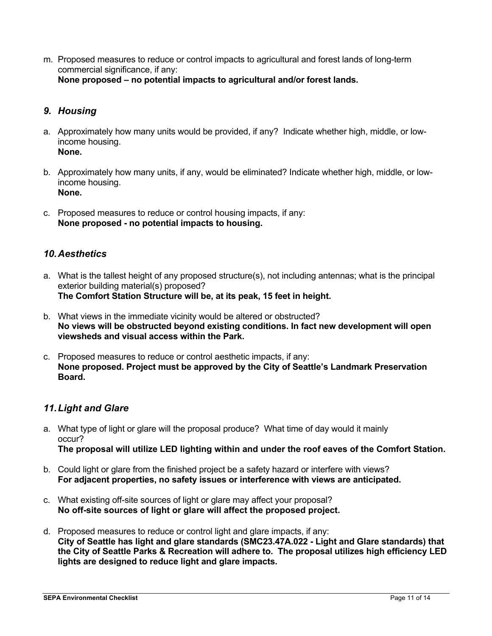m. Proposed measures to reduce or control impacts to agricultural and forest lands of long-term commercial significance, if any: **None proposed – no potential impacts to agricultural and/or forest lands.**

# *9. Housing*

- a. Approximately how many units would be provided, if any? Indicate whether high, middle, or lowincome housing. **None.**
- b. Approximately how many units, if any, would be eliminated? Indicate whether high, middle, or lowincome housing. **None.**
- c. Proposed measures to reduce or control housing impacts, if any: **None proposed - no potential impacts to housing.**

## *10.Aesthetics*

- a. What is the tallest height of any proposed structure(s), not including antennas; what is the principal exterior building material(s) proposed? **The Comfort Station Structure will be, at its peak, 15 feet in height.**
- b. What views in the immediate vicinity would be altered or obstructed? **No views will be obstructed beyond existing conditions. In fact new development will open viewsheds and visual access within the Park.**
- c. Proposed measures to reduce or control aesthetic impacts, if any: **None proposed. Project must be approved by the City of Seattle's Landmark Preservation Board.**

## *11.Light and Glare*

- a. What type of light or glare will the proposal produce? What time of day would it mainly occur? **The proposal will utilize LED lighting within and under the roof eaves of the Comfort Station.**
- b. Could light or glare from the finished project be a safety hazard or interfere with views? **For adjacent properties, no safety issues or interference with views are anticipated.**
- c. What existing off-site sources of light or glare may affect your proposal? **No off-site sources of light or glare will affect the proposed project.**
- d. Proposed measures to reduce or control light and glare impacts, if any: **City of Seattle has light and glare standards (SMC23.47A.022 - Light and Glare standards) that the City of Seattle Parks & Recreation will adhere to. The proposal utilizes high efficiency LED lights are designed to reduce light and glare impacts.**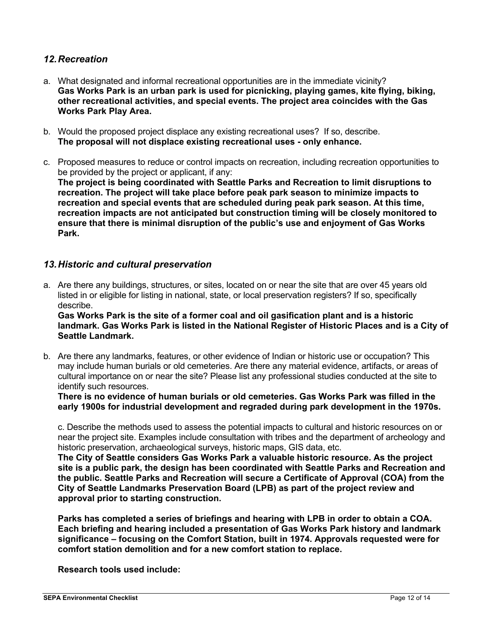## *12.Recreation*

- a. What designated and informal recreational opportunities are in the immediate vicinity? **Gas Works Park is an urban park is used for picnicking, playing games, kite flying, biking, other recreational activities, and special events. The project area coincides with the Gas Works Park Play Area.**
- b. Would the proposed project displace any existing recreational uses? If so, describe. **The proposal will not displace existing recreational uses - only enhance.**
- c. Proposed measures to reduce or control impacts on recreation, including recreation opportunities to be provided by the project or applicant, if any: **The project is being coordinated with Seattle Parks and Recreation to limit disruptions to recreation. The project will take place before peak park season to minimize impacts to recreation and special events that are scheduled during peak park season. At this time, recreation impacts are not anticipated but construction timing will be closely monitored to ensure that there is minimal disruption of the public's use and enjoyment of Gas Works Park.**

## *13.Historic and cultural preservation*

a. Are there any buildings, structures, or sites, located on or near the site that are over 45 years old listed in or eligible for listing in national, state, or local preservation registers? If so, specifically describe.

**Gas Works Park is the site of a former coal and oil gasification plant and is a historic landmark. Gas Works Park is listed in the National Register of Historic Places and is a City of Seattle Landmark.**

b. Are there any landmarks, features, or other evidence of Indian or historic use or occupation? This may include human burials or old cemeteries. Are there any material evidence, artifacts, or areas of cultural importance on or near the site? Please list any professional studies conducted at the site to identify such resources.

**There is no evidence of human burials or old cemeteries. Gas Works Park was filled in the early 1900s for industrial development and regraded during park development in the 1970s.**

c. Describe the methods used to assess the potential impacts to cultural and historic resources on or near the project site. Examples include consultation with tribes and the department of archeology and historic preservation, archaeological surveys, historic maps, GIS data, etc.

**The City of Seattle considers Gas Works Park a valuable historic resource. As the project site is a public park, the design has been coordinated with Seattle Parks and Recreation and the public. Seattle Parks and Recreation will secure a Certificate of Approval (COA) from the City of Seattle Landmarks Preservation Board (LPB) as part of the project review and approval prior to starting construction.**

**Parks has completed a series of briefings and hearing with LPB in order to obtain a COA. Each briefing and hearing included a presentation of Gas Works Park history and landmark significance – focusing on the Comfort Station, built in 1974. Approvals requested were for comfort station demolition and for a new comfort station to replace.** 

**Research tools used include:**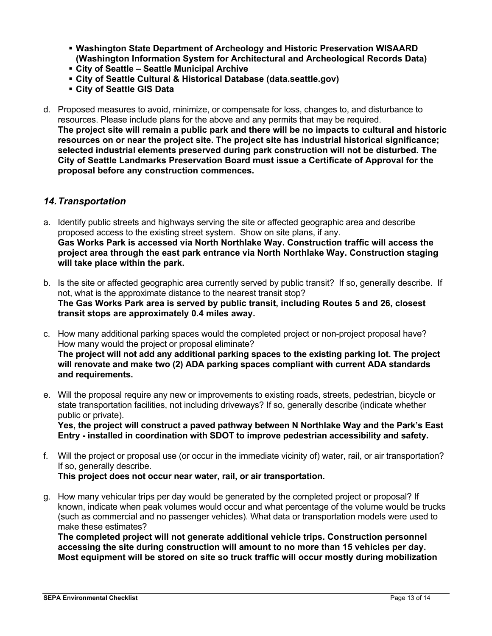- **Washington State Department of Archeology and Historic Preservation WISAARD (Washington Information System for Architectural and Archeological Records Data)**
- **City of Seattle Seattle Municipal Archive**
- **City of Seattle Cultural & Historical Database (data.seattle.gov)**
- **City of Seattle GIS Data**
- d. Proposed measures to avoid, minimize, or compensate for loss, changes to, and disturbance to resources. Please include plans for the above and any permits that may be required. **The project site will remain a public park and there will be no impacts to cultural and historic resources on or near the project site. The project site has industrial historical significance; selected industrial elements preserved during park construction will not be disturbed. The City of Seattle Landmarks Preservation Board must issue a Certificate of Approval for the proposal before any construction commences.**

## *14.Transportation*

- a. Identify public streets and highways serving the site or affected geographic area and describe proposed access to the existing street system. Show on site plans, if any. **Gas Works Park is accessed via North Northlake Way. Construction traffic will access the project area through the east park entrance via North Northlake Way. Construction staging will take place within the park.**
- b. Is the site or affected geographic area currently served by public transit? If so, generally describe. If not, what is the approximate distance to the nearest transit stop? **The Gas Works Park area is served by public transit, including Routes 5 and 26, closest transit stops are approximately 0.4 miles away.**
- c. How many additional parking spaces would the completed project or non-project proposal have? How many would the project or proposal eliminate? **The project will not add any additional parking spaces to the existing parking lot. The project will renovate and make two (2) ADA parking spaces compliant with current ADA standards and requirements.**
- e. Will the proposal require any new or improvements to existing roads, streets, pedestrian, bicycle or state transportation facilities, not including driveways? If so, generally describe (indicate whether public or private).

**Yes, the project will construct a paved pathway between N Northlake Way and the Park's East Entry - installed in coordination with SDOT to improve pedestrian accessibility and safety.**

f. Will the project or proposal use (or occur in the immediate vicinity of) water, rail, or air transportation? If so, generally describe.

**This project does not occur near water, rail, or air transportation.**

g. How many vehicular trips per day would be generated by the completed project or proposal? If known, indicate when peak volumes would occur and what percentage of the volume would be trucks (such as commercial and no passenger vehicles). What data or transportation models were used to make these estimates?

**The completed project will not generate additional vehicle trips. Construction personnel accessing the site during construction will amount to no more than 15 vehicles per day. Most equipment will be stored on site so truck traffic will occur mostly during mobilization**